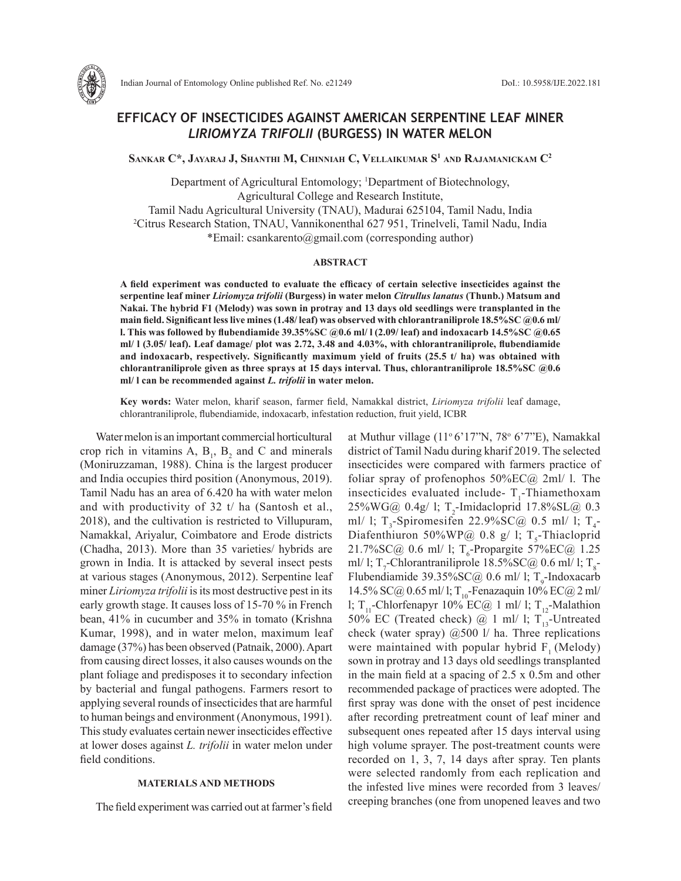

# **EFFICACY OF INSECTICIDES AGAINST AMERICAN SERPENTINE LEAF MINER**  *LIRIOMYZA TRIFOLII* **(BURGESS) IN WATER MELON**

**Sankar C\*, Jayaraj J, Shanthi M, Chinniah C, Vellaikumar S1 and Rajamanickam C2**

Department of Agricultural Entomology; <sup>1</sup>Department of Biotechnology, Agricultural College and Research Institute, Tamil Nadu Agricultural University (TNAU), Madurai 625104, Tamil Nadu, India 2 Citrus Research Station, TNAU, Vannikonenthal 627 951, Trinelveli, Tamil Nadu, India \*Email: csankarento@gmail.com (corresponding author)

### **ABSTRACT**

**A field experiment was conducted to evaluate the efficacy of certain selective insecticides against the serpentine leaf miner** *Liriomyza trifolii* **(Burgess) in water melon** *Citrullus lanatus* **(Thunb.) Matsum and Nakai. The hybrid F1 (Melody) was sown in protray and 13 days old seedlings were transplanted in the main field. Significant less live mines (1.48/ leaf) was observed with chlorantraniliprole 18.5%SC @0.6 ml/ l. This was followed by flubendiamide 39.35%SC @0.6 ml/ l (2.09/ leaf) and indoxacarb 14.5%SC @0.65 ml/ l (3.05/ leaf). Leaf damage/ plot was 2.72, 3.48 and 4.03%, with chlorantraniliprole, flubendiamide and indoxacarb, respectively. Significantly maximum yield of fruits (25.5 t/ ha) was obtained with chlorantraniliprole given as three sprays at 15 days interval. Thus, chlorantraniliprole 18.5%SC @0.6 ml/ l can be recommended against** *L. trifolii* **in water melon.** 

**Key words:** Water melon, kharif season, farmer field, Namakkal district, *Liriomyza trifolii* leaf damage, chlorantraniliprole, flubendiamide, indoxacarb, infestation reduction, fruit yield, ICBR

Water melon is an important commercial horticultural crop rich in vitamins A,  $B_1$ ,  $B_2$  and C and minerals (Moniruzzaman, 1988). China is the largest producer and India occupies third position (Anonymous, 2019). Tamil Nadu has an area of 6.420 ha with water melon and with productivity of 32 t/ ha (Santosh et al., 2018), and the cultivation is restricted to Villupuram, Namakkal, Ariyalur, Coimbatore and Erode districts (Chadha, 2013). More than 35 varieties/ hybrids are grown in India. It is attacked by several insect pests at various stages (Anonymous, 2012). Serpentine leaf miner *Liriomyza trifolii* is its most destructive pest in its early growth stage. It causes loss of 15-70 % in French bean, 41% in cucumber and 35% in tomato (Krishna Kumar, 1998), and in water melon, maximum leaf damage (37%) has been observed (Patnaik, 2000). Apart from causing direct losses, it also causes wounds on the plant foliage and predisposes it to secondary infection by bacterial and fungal pathogens. Farmers resort to applying several rounds of insecticides that are harmful to human beings and environment (Anonymous, 1991). This study evaluates certain newer insecticides effective at lower doses against *L. trifolii* in water melon under field conditions.

# **MATERIALS AND METHODS**

The field experiment was carried out at farmer's field

at Muthur village (11<sup>°</sup> 6'17"N, 78<sup>°</sup> 6'7"E), Namakkal district of Tamil Nadu during kharif 2019. The selected insecticides were compared with farmers practice of foliar spray of profenophos  $50\%$ EC $@$  2ml/ l. The insecticides evaluated include- $T_1$ -Thiamethoxam  $25\%$ WG@ 0.4g/ l; T<sub>2</sub>-Imidacloprid 17.8%SL@ 0.3 ml/ l;  $T_3$ -Spiromesifen 22.9%SC@ 0.5 ml/ l;  $T_4$ -Diafenthiuron 50%WP@ 0.8 g/ l;  $T_s$ -Thiacloprid  $21.7\%$ SC@ 0.6 ml/ l; T<sub>6</sub>-Propargite 57%EC@ 1.25 ml/ l; T<sub>7</sub>-Chlorantraniliprole 18.5%SC@ 0.6 ml/ l; T<sub>8</sub>-Flubendiamide  $39.35\%$ SC@ 0.6 ml/ l; T<sub>9</sub>-Indoxacarb 14.5% SC@ 0.65 ml/ l; T<sub>10</sub>-Fenazaquin 10% EC@ 2 ml/ l; T<sub>11</sub>-Chlorfenapyr 10% EC@ 1 ml/ l; T<sub>12</sub>-Malathion 50% EC (Treated check)  $\omega$  1 ml/ 1; T<sub>13</sub>-Untreated check (water spray)  $(2, 500)$  l/ ha. Three replications were maintained with popular hybrid  $F<sub>1</sub>$  (Melody) sown in protray and 13 days old seedlings transplanted in the main field at a spacing of 2.5 x 0.5m and other recommended package of practices were adopted. The first spray was done with the onset of pest incidence after recording pretreatment count of leaf miner and subsequent ones repeated after 15 days interval using high volume sprayer. The post-treatment counts were recorded on 1, 3, 7, 14 days after spray. Ten plants were selected randomly from each replication and the infested live mines were recorded from 3 leaves/ creeping branches (one from unopened leaves and two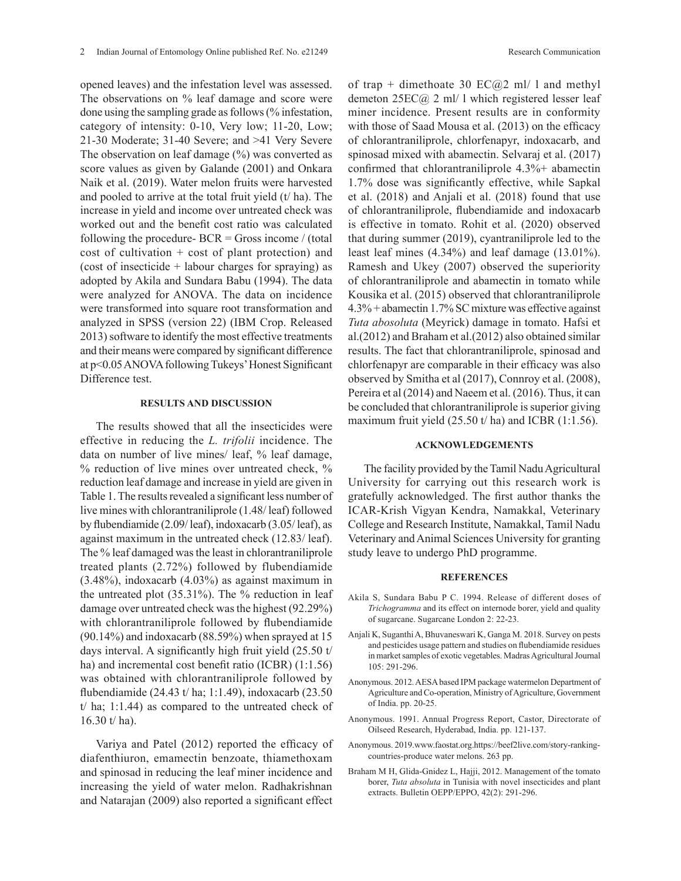opened leaves) and the infestation level was assessed. The observations on % leaf damage and score were done using the sampling grade as follows (% infestation, category of intensity: 0-10, Very low; 11-20, Low; 21-30 Moderate; 31-40 Severe; and >41 Very Severe The observation on leaf damage (%) was converted as score values as given by Galande (2001) and Onkara Naik et al. (2019). Water melon fruits were harvested and pooled to arrive at the total fruit yield  $(t/ha)$ . The increase in yield and income over untreated check was worked out and the benefit cost ratio was calculated following the procedure- $BCR = Gross$  income / (total cost of cultivation + cost of plant protection) and (cost of insecticide + labour charges for spraying) as adopted by Akila and Sundara Babu (1994). The data were analyzed for ANOVA. The data on incidence were transformed into square root transformation and analyzed in SPSS (version 22) (IBM Crop. Released 2013) software to identify the most effective treatments and their means were compared by significant difference at p<0.05 ANOVA following Tukeys' Honest Significant Difference test.

# **RESULTS AND DISCUSSION**

The results showed that all the insecticides were effective in reducing the *L. trifolii* incidence. The data on number of live mines/ leaf, % leaf damage, % reduction of live mines over untreated check, % reduction leaf damage and increase in yield are given in Table 1. The results revealed a significant less number of live mines with chlorantraniliprole (1.48/ leaf) followed by flubendiamide (2.09/ leaf), indoxacarb (3.05/ leaf), as against maximum in the untreated check (12.83/ leaf). The % leaf damaged was the least in chlorantraniliprole treated plants (2.72%) followed by flubendiamide (3.48%), indoxacarb (4.03%) as against maximum in the untreated plot (35.31%). The % reduction in leaf damage over untreated check was the highest (92.29%) with chlorantraniliprole followed by flubendiamide (90.14%) and indoxacarb (88.59%) when sprayed at 15 days interval. A significantly high fruit yield (25.50 t/ ha) and incremental cost benefit ratio (ICBR) (1:1.56) was obtained with chlorantraniliprole followed by flubendiamide (24.43 t/ ha; 1:1.49), indoxacarb (23.50 t/ ha; 1:1.44) as compared to the untreated check of 16.30 t/ ha).

Variya and Patel (2012) reported the efficacy of diafenthiuron, emamectin benzoate, thiamethoxam and spinosad in reducing the leaf miner incidence and increasing the yield of water melon. Radhakrishnan and Natarajan (2009) also reported a significant effect

of trap + dimethoate 30  $EC(a, 2 \text{ ml}/1$  and methyl demeton 25EC@ 2 ml/ l which registered lesser leaf miner incidence. Present results are in conformity with those of Saad Mousa et al. (2013) on the efficacy of chlorantraniliprole, chlorfenapyr, indoxacarb, and spinosad mixed with abamectin. Selvaraj et al. (2017) confirmed that chlorantraniliprole 4.3%+ abamectin 1.7% dose was significantly effective, while Sapkal et al. (2018) and Anjali et al. (2018) found that use of chlorantraniliprole, flubendiamide and indoxacarb is effective in tomato. Rohit et al. (2020) observed that during summer (2019), cyantraniliprole led to the least leaf mines (4.34%) and leaf damage (13.01%). Ramesh and Ukey (2007) observed the superiority of chlorantraniliprole and abamectin in tomato while Kousika et al. (2015) observed that chlorantraniliprole 4.3% + abamectin 1.7% SC mixture was effective against *Tuta abosoluta* (Meyrick) damage in tomato. Hafsi et al.(2012) and Braham et al.(2012) also obtained similar results. The fact that chlorantraniliprole, spinosad and chlorfenapyr are comparable in their efficacy was also observed by Smitha et al (2017), Connroy et al. (2008), Pereira et al (2014) and Naeem et al. (2016). Thus, it can be concluded that chlorantraniliprole is superior giving maximum fruit yield  $(25.50 \text{ t/ha})$  and ICBR  $(1.1.56)$ .

## **ACKNOWLEDGEMENTS**

The facility provided by the Tamil Nadu Agricultural University for carrying out this research work is gratefully acknowledged. The first author thanks the ICAR-Krish Vigyan Kendra, Namakkal, Veterinary College and Research Institute, Namakkal, Tamil Nadu Veterinary and Animal Sciences University for granting study leave to undergo PhD programme.

#### **REFERENCES**

- Akila S, Sundara Babu P C. 1994. Release of different doses of *Trichogramma* and its effect on internode borer, yield and quality of sugarcane. Sugarcane London 2: 22-23.
- Anjali K, Suganthi A, Bhuvaneswari K, Ganga M. 2018. Survey on pests and pesticides usage pattern and studies on flubendiamide residues in market samples of exotic vegetables. Madras Agricultural Journal 105: 291-296.
- Anonymous. 2012. AESA based IPM package watermelon Department of Agriculture and Co-operation, Ministry of Agriculture, Government of India. pp. 20-25.
- Anonymous. 1991. Annual Progress Report, Castor, Directorate of Oilseed Research, Hyderabad, India. pp. 121-137.
- Anonymous. 2019.www.faostat.org.https://beef2live.com/story-rankingcountries-produce water melons. 263 pp.
- Braham M H, Glida-Gnidez L, Hajji, 2012. Management of the tomato borer, *Tuta absoluta* in Tunisia with novel insecticides and plant extracts. Bulletin OEPP/EPPO, 42(2): 291-296.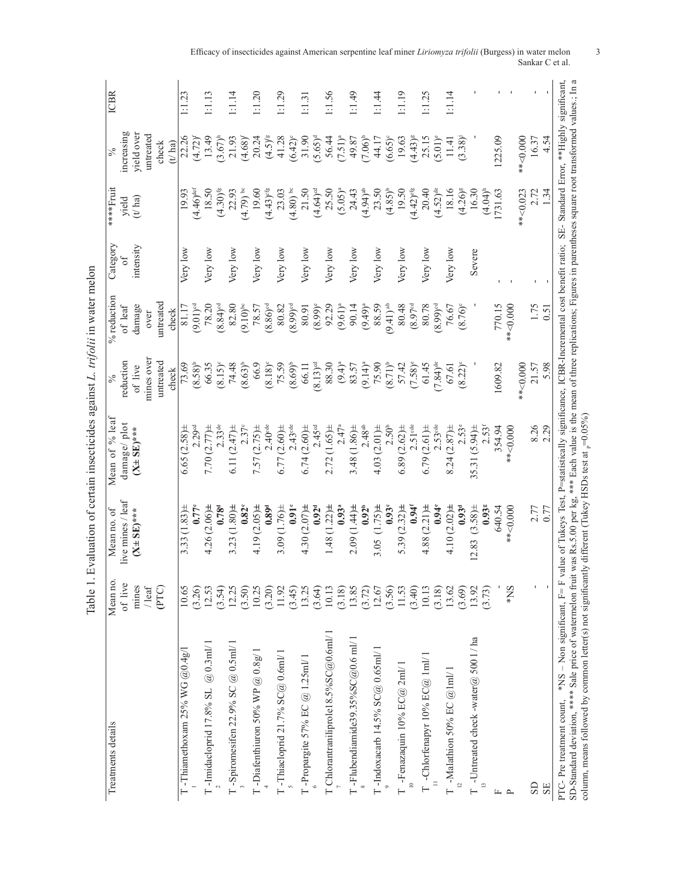| $\begin{bmatrix} 1 & 0 & 1 \\ 0 & 1 & 1 \end{bmatrix}$ $\begin{bmatrix} 1 & 0 & 1 \\ 1 & 1 & 0 \end{bmatrix}$ $\begin{bmatrix} 0 & 1 & 1 \\ 0 & 1 & 1 \end{bmatrix}$ $\begin{bmatrix} 0 & 1 & 0 \\ 0 & 1 & 0 \end{bmatrix}$ $\begin{bmatrix} 0 & 1 & 1 \\ 0 & 1 & 1 \end{bmatrix}$ $\begin{bmatrix} 0 & 1 & 1 \\ 0 & 1 & 1 \end{bmatrix}$<br>$\frac{1}{2}$<br>$\frac{1}{2}$ |
|-----------------------------------------------------------------------------------------------------------------------------------------------------------------------------------------------------------------------------------------------------------------------------------------------------------------------------------------------------------------------------|
|                                                                                                                                                                                                                                                                                                                                                                             |
| )                                                                                                                                                                                                                                                                                                                                                                           |
|                                                                                                                                                                                                                                                                                                                                                                             |
|                                                                                                                                                                                                                                                                                                                                                                             |
|                                                                                                                                                                                                                                                                                                                                                                             |
| u u u u u                                                                                                                                                                                                                                                                                                                                                                   |
| :                                                                                                                                                                                                                                                                                                                                                                           |
| ֚֚֬<br>;                                                                                                                                                                                                                                                                                                                                                                    |

| Treatments details                                                                                                       | Mean no.     | Mean no. of                                    | Mean of % leaf                                                                                                                                                 | $\frac{6}{6}$          | % reduction            | Category  | ****Fruit               | $\sqrt{6}$            | <b>ICBR</b>  |
|--------------------------------------------------------------------------------------------------------------------------|--------------|------------------------------------------------|----------------------------------------------------------------------------------------------------------------------------------------------------------------|------------------------|------------------------|-----------|-------------------------|-----------------------|--------------|
|                                                                                                                          | of live      | live mines / leaf                              | damage/plot                                                                                                                                                    | reduction              | of leaf                | ð         | yield                   | ncreasing             |              |
|                                                                                                                          | mines        | $(X \pm \text{SE})$ ***                        | $(X \pm \text{SE})$ ***                                                                                                                                        | of live                | damage                 | intensity | $(t/\$ ha               | yield over            |              |
|                                                                                                                          | / $leaf$     |                                                |                                                                                                                                                                | mines over             | over                   |           |                         | untreated             |              |
|                                                                                                                          | (PTC)        |                                                |                                                                                                                                                                | untreated              | untreated              |           |                         | $_{\rm check}$        |              |
|                                                                                                                          |              |                                                |                                                                                                                                                                | check                  | check                  |           |                         | (t/ha)                |              |
| T -Thiamethoxam 25% WG $@0.4g/1$                                                                                         | 10.65        | 3.33 $(1.83)$ $\pm$                            | 6.65(2.58)                                                                                                                                                     | 73.69                  | 81.17                  | Very low  | 19.93                   | 22.26                 | 1:1.23       |
|                                                                                                                          | (3.26)       | $0.77^{\circ}$                                 | 2.29 <sup>cd</sup>                                                                                                                                             | $(8.58)^{b}$           | $(9.01)$ <sup>od</sup> |           | $(4.46)$ <sup>def</sup> | $(4.72)^{f}$          |              |
| $\Gamma$ -Imidacloprid 17.8% SL @ 0.3ml/1                                                                                | 12.53        | $4.26(2.06)$ ±                                 | 7.70 $(2.77)$ ±                                                                                                                                                | 66.35                  | 78.20                  | Very low  | 18.50                   | 13.49                 | 1:1.13       |
|                                                                                                                          | (3.54)       | 0.78 <sup>d</sup>                              | 2.33de                                                                                                                                                         | $(8.15)^{\circ}$       | $(8.84)$ <sup>od</sup> |           | $(4.30)$ <sup>fg</sup>  | $(3.67)^{h}$          |              |
| T -Spiromesifen 22.9% SC $@$ 0.5ml/ l                                                                                    | 12.25        | 3.23 $(1.80)$ ±                                | 6.11 $(2.47)$ ±                                                                                                                                                | 74.48                  | 82.80                  | Very low  | 22.93                   | 21.93                 | 1.14         |
|                                                                                                                          | (3.50)       | 0.82 <sup>c</sup>                              | $2.37^{\circ}$                                                                                                                                                 | $(8.63)$ <sup>b</sup>  | $(9.10)$ <sup>bc</sup> |           | $4.79$ ) be             | $(4.68)^{f}$          |              |
| T-Diafenthiuron 50% WP $@$ 0.8g/1                                                                                        | 10.25        | 4.19 $(2.05)$ ±                                | 7.57 $(2.75)$ ±                                                                                                                                                | 66.9                   | 78.57                  | Very low  | 19.60                   | 20.24                 | 1.20         |
|                                                                                                                          | (3.20)       | 0.89 <sup>d</sup>                              | $2.40$ <sup>de</sup>                                                                                                                                           | $(8.18)^c$             | $(8.86)$ <sup>od</sup> |           | $(4.43)$ <sup>cfg</sup> | $(4.5)^{fg}$          |              |
| T-Thiacloprid 21.7% $SC@0.6$ ml/1                                                                                        | 11.92        | 3.09 $(1.76)$ ±                                | 6.77(2.60)                                                                                                                                                     | 75.59                  | 80.82                  | Very low  | 23.03                   | 41.28                 | 1:1.29       |
|                                                                                                                          | (3.45)       | $0.91^\circ$                                   | $2.43$ de                                                                                                                                                      | $(8.69)^{b}$           | $(8.99)$ <sup>od</sup> |           | (08.4)                  | $(6.42)^{c}$          |              |
| T -<br>Propargite 57% EC $@$ 1.25<br>ml/ l                                                                               | 13.25        | 4.30 $(2.07)$ =                                | 6.74(2.60)                                                                                                                                                     | 66.11                  | 80.91                  | Very low  | 21.50                   | 31.90                 | 1.31         |
|                                                                                                                          | (3.64)       | $0.92^{\rm d}$                                 | 2.45 <sup>od</sup>                                                                                                                                             | $(8.13)$ <sup>od</sup> | $(8.99)^e$             |           | $(4.64)$ <sup>cd</sup>  | $(5.65)^d$            |              |
| T Chlorantraniliprole18.5%SC@0.6ml/1                                                                                     | 10.13        | 1.48 $(1.22)$ $\pm$                            | 2.72(1.65)                                                                                                                                                     | 88.30                  | 92.29                  | Very low  | 25.50                   | 56.44                 | 1:1.56       |
|                                                                                                                          | (3.18)       | $0.93^{a}$                                     | $2.47^{a}$                                                                                                                                                     | $(9.4)^{a}$            | $(9.61)^{a}$           |           | $(5.05)^{a}$            | $(7.51)^{a}$          |              |
| $T$ -Flubendiamide39.35%SC@0.6 ml/1                                                                                      | 13.85        | 2.09 (1.44)±                                   | 3.48 $(1.86)$ ±                                                                                                                                                | 83.57                  | 90.14                  | Very low  | 24.43                   | 49.87                 | 1:1.49       |
|                                                                                                                          | (3.72)       | $0.92^{h}$                                     | $2.48^{ab}$                                                                                                                                                    | $(9.14)^a$             | $(9.49)^{a}$           |           | $(4.94)$ <sup>ab</sup>  | $(7.06)^{b}$          |              |
| T-Indoxacarb 14.5% $SC@0.65m1/1$                                                                                         | 12.67        | 3.05 $(1.75)$ ±                                | 4.03(2.01)                                                                                                                                                     | 75.90                  | 88.59                  | Very low  | 23.50                   | 44.17                 | 1.1.44       |
|                                                                                                                          | (3.56)       | 0.93 <sup>c</sup>                              | 2.50 <sup>b</sup>                                                                                                                                              | $(8.71)^{b}$           | $(9.41)$ <sup>ab</sup> |           | $(4.85)^{b}$            | $(6.65)^{\circ}$      |              |
| T -Fenazaquin 10% $EC@2m1/1$                                                                                             | 11.53        | 5.39 $(2.32)$ ±                                | 6.89 $(2.62)$ $\pm$                                                                                                                                            | 57.42                  | 80.48                  | Very low  | 19.50                   | 19.63                 | 1:1.19       |
|                                                                                                                          | (3.40)       | 0.94 <sup>t</sup>                              | $2.51$ <sup>de</sup>                                                                                                                                           | $(7.58)^e$             | (8.97 <sup>cd</sup> )  |           | $(4.42)$ <sup>efg</sup> | $(4.43)$ <sup>g</sup> |              |
| T -Chlorfenapyr $10\%$ EC@ $1$ ml/ $1$                                                                                   | 10.13        | 4.88(2.21)                                     | 6.79(2.61)                                                                                                                                                     | 61.45                  | 80.78                  | Very low  | 20.40                   | 25.15                 | 1.25         |
|                                                                                                                          | (3.18)       | $0.94^{\circ}$                                 | $2.53$ de                                                                                                                                                      | $(7.84)$ <sup>de</sup> | $(8.99)$ <sup>od</sup> |           | $(4.52)^{de}$           | $(5.01)$ <sup>e</sup> |              |
| T -Malathion 50% EC $@$ 1ml/1                                                                                            | 13.62        | 4.10 $(2.02)$ =                                | 8.24(2.87)                                                                                                                                                     | 67.61                  | 76.67                  | Very low  | 18.16                   | 11.41                 | 1:1.14       |
|                                                                                                                          | (3.69)       | 0.93 <sup>d</sup>                              |                                                                                                                                                                | $(8.22)^{\circ}$       | $(8.76)^{\circ}$       |           | $(4.26)$ <sup>g</sup>   | (3.38)                |              |
| T -Untreated check -water@ 5001/ha                                                                                       | 13.92        | $(3.58) \pm$<br>12.83                          | 35.31 (5.94)±                                                                                                                                                  |                        |                        | Severe    | 16.30                   |                       |              |
|                                                                                                                          | (3.73)       | 0.938                                          | $2.53$ <sup>f</sup>                                                                                                                                            |                        |                        |           | $(4.04)$ <sup>h</sup>   |                       |              |
| E                                                                                                                        |              | 640.54                                         | 354.94                                                                                                                                                         | 1609.82                | 770.15                 |           | 731.63                  | 1225.09               |              |
| $\sim$                                                                                                                   | *NS          | $*$ $*$ $<$ 0.000                              | $*$ $<$ 0.000                                                                                                                                                  |                        | $*$ $*$ $<$ 0.000      |           |                         |                       | $\mathbf{I}$ |
|                                                                                                                          |              |                                                |                                                                                                                                                                | $**$ <0.000            |                        |           | **<0.023                | $**$ <0.000           |              |
| SD                                                                                                                       | ı            | 2.77                                           | 8.26                                                                                                                                                           | 21.57                  | 1.75                   | I.        | 2.72                    | 16.37                 |              |
| SE                                                                                                                       | $\mathbf{r}$ | 0.77                                           | 2.29                                                                                                                                                           | 5.98                   | 0.51                   |           | 1.34                    | 4.54                  |              |
| PTC-Pre treatment count,                                                                                                 |              |                                                | *NS - Non significant, F= F value of Tukeys Test, P=statistically significance, ICBR-Incremental cost benefit ratio; SE- Standard Error, **Highly significant, |                        |                        |           |                         |                       |              |
| SD-Standard deviation, **** Sale price of watermelon fruit<br>column, means followed by common letter(s) not significant |              | ly different (Tukey HSDs test at $_p=0.05\%$ ) | was Rs.5.00 per kg, *** Each value is the mean of three replications; Figures in parentheses square root transformed values; In a                              |                        |                        |           |                         |                       |              |
|                                                                                                                          |              |                                                |                                                                                                                                                                |                        |                        |           |                         |                       |              |

Efficacy of insecticides against American serpentine leaf miner *Liriomyza trifolii* (Burgess) in water melon 3 Sankar C et al.